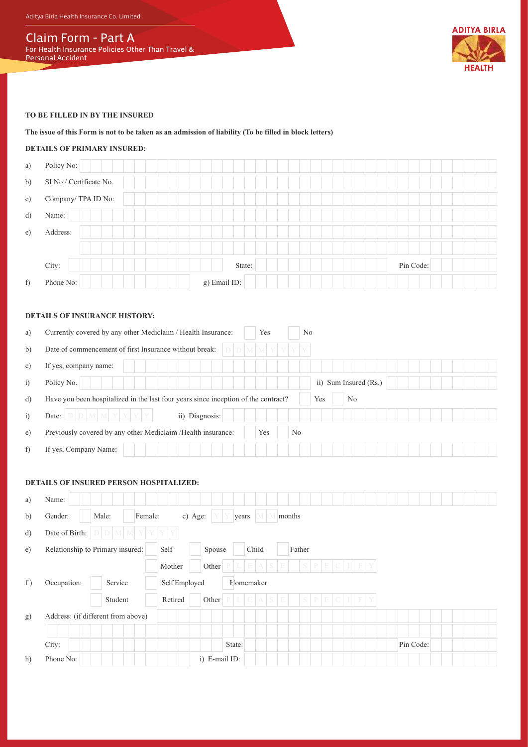Aditya Birla Health Insurance Co. Limited

# Claim Form - Part A

For Health Insurance Policies Other Than Travel & Personal Accident



#### **TO BE FILLED IN BY THE INSURED**

#### **The issue of this Form is not to be taken as an admission of liability (To be filled in block letters)**

#### **DETAILS OF PRIMARY INSURED:**

| f)           | Phone No:                          | g) Email ID: |           |
|--------------|------------------------------------|--------------|-----------|
|              | City:                              | State:       | Pin Code: |
|              |                                    |              |           |
| e)           | Address:                           |              |           |
| $\mathbf{d}$ | Name:                              |              |           |
| c)           | Company/TPA ID No:                 |              |           |
| b)           | $\mathrm{SI}$ No / Certificate No. |              |           |
| a)           | Policy No:                         |              |           |

## **DETAILS OF INSURANCE HISTORY:**

| a)             | Currently covered by any other Mediclaim / Health Insurance:<br>Yes<br>N <sub>0</sub>           |
|----------------|-------------------------------------------------------------------------------------------------|
| b)             | Date of commencement of first Insurance without break:<br>didimimi yi y                         |
| c)             | If yes, company name:                                                                           |
| $\ddot{1}$     | ii) Sum Insured (Rs.)<br>Policy No.                                                             |
| d)             | Have you been hospitalized in the last four years since inception of the contract?<br>Yes<br>No |
| $\overline{1}$ | ii) Diagnosis:<br>$D$ M M Y Y Y Y Y<br>Date:                                                    |
| e)             | Previously covered by any other Mediclaim /Health insurance:<br>Yes<br>No                       |
| f)             | If yes, Company Name:                                                                           |

#### **DETAILS OF INSURED PERSON HOSPITALIZED:**

| a) | Name:                              |                             |               |               |              |                 |    |             |       |            |     |  |           |  |  |  |
|----|------------------------------------|-----------------------------|---------------|---------------|--------------|-----------------|----|-------------|-------|------------|-----|--|-----------|--|--|--|
| b) | Gender:<br>Male:                   | Female:                     | c) Age:       |               | years        |                 |    | months      |       |            |     |  |           |  |  |  |
| d) | Date of Birth:                     | $D$ $D$ $M$ $M$ $Y$ $Y$ $Y$ |               |               |              |                 |    |             |       |            |     |  |           |  |  |  |
| e) | Relationship to Primary insured:   |                             | Self          | Spouse        |              | Child           |    | Father      |       |            |     |  |           |  |  |  |
|    |                                    |                             | Mother        | Other         |              | $L$ $E$ $A$ $S$ |    |             |       | $S$ PECIFY |     |  |           |  |  |  |
| f) | Occupation:                        | Service                     | Self Employed |               |              | Homemaker       |    |             |       |            |     |  |           |  |  |  |
|    |                                    | Student                     | Retired       | Other         | $\mathbb{P}$ | L[E[A S]        | E. | $S_{\perp}$ | P E C |            | IFY |  |           |  |  |  |
| g) | Address: (if different from above) |                             |               |               |              |                 |    |             |       |            |     |  |           |  |  |  |
|    |                                    |                             |               |               |              |                 |    |             |       |            |     |  |           |  |  |  |
|    | City:                              |                             |               |               | State:       |                 |    |             |       |            |     |  | Pin Code: |  |  |  |
| h) | Phone No:                          |                             |               | i) E-mail ID: |              |                 |    |             |       |            |     |  |           |  |  |  |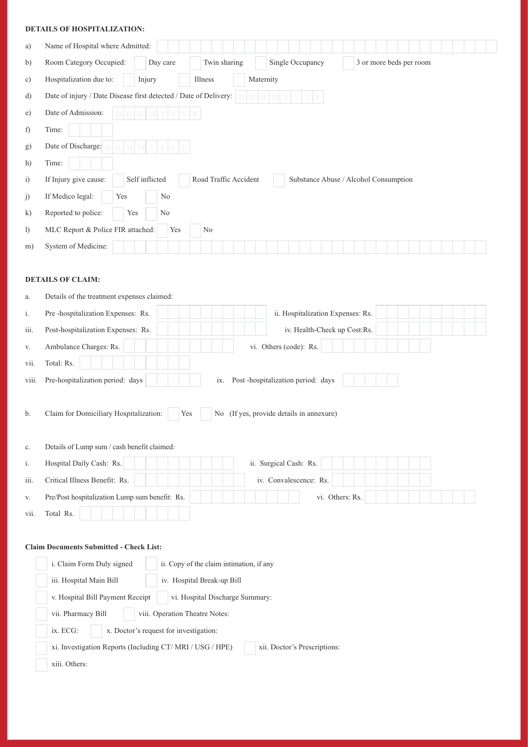|                              | <b>DETAILS OF HOSPITALIZATION:</b>                                                                        |  |  |  |  |  |
|------------------------------|-----------------------------------------------------------------------------------------------------------|--|--|--|--|--|
| a)                           | Name of Hospital where Admitted:                                                                          |  |  |  |  |  |
| b)                           | Room Category Occupied:<br>Twin sharing<br>Single Occupancy<br>3 or more beds per room<br>Day care        |  |  |  |  |  |
| c)                           | Injury<br>Maternity<br>Hospitalization due to:<br>Illness                                                 |  |  |  |  |  |
| d)                           | Date of injury / Date Disease first detected / Date of Delivery:                                          |  |  |  |  |  |
| e)                           | Date of Admission:                                                                                        |  |  |  |  |  |
| f)                           | Time:                                                                                                     |  |  |  |  |  |
| g)                           | Date of Discharge: D<br>M                                                                                 |  |  |  |  |  |
| h)                           | Time:                                                                                                     |  |  |  |  |  |
| i)                           | Self inflicted<br>If Injury give cause:<br>Road Traffic Accident<br>Substance Abuse / Alcohol Consumption |  |  |  |  |  |
| j)                           | If Medico legal:<br>Yes<br>No                                                                             |  |  |  |  |  |
| $\mathbf{k}$                 | Reported to police:<br>Yes<br>$\rm No$                                                                    |  |  |  |  |  |
| $\left( \frac{1}{2} \right)$ | MLC Report & Police FIR attached:<br>Yes<br>No                                                            |  |  |  |  |  |
| m)                           | System of Medicine:                                                                                       |  |  |  |  |  |
|                              | <b>DETAILS OF CLAIM:</b>                                                                                  |  |  |  |  |  |
| a.                           | Details of the treatment expenses claimed:                                                                |  |  |  |  |  |
| i.                           | Pre-hospitalization Expenses: Rs.<br>ii. Hospitalization Expenses: Rs.                                    |  |  |  |  |  |
| iii.                         | Post-hospitalization Expenses: Rs.<br>iv. Health-Check up Cost:Rs.                                        |  |  |  |  |  |
| V.                           | Ambulance Charges: Rs.<br>vi. Others (code): Rs.                                                          |  |  |  |  |  |
| vii.                         | Total: Rs.                                                                                                |  |  |  |  |  |
| viii.                        | Pre-hospitalization period: days<br>ix. Post-hospitalization period: days                                 |  |  |  |  |  |
| b.                           | No (If yes, provide details in annexure)<br>Claim for Domiciliary Hospitalization:<br>Yes                 |  |  |  |  |  |
| c.                           | Details of Lump sum / cash benefit claimed:                                                               |  |  |  |  |  |
| i.                           | Hospital Daily Cash: Rs.<br>ii. Surgical Cash: Rs.                                                        |  |  |  |  |  |
| iii.                         | iv. Convalescence: Rs.<br>Critical Illness Benefit: Rs.                                                   |  |  |  |  |  |
| V.                           | Pre/Post hospitalization Lump sum benefit: Rs.<br>vi. Others: Rs.                                         |  |  |  |  |  |
| vii.                         | Total Rs.                                                                                                 |  |  |  |  |  |

### **Claim Documents Submitted - Check List:**

| <i>i.</i> Claim Form Duly signed<br>ii. Copy of the claim intimation, if any |                              |
|------------------------------------------------------------------------------|------------------------------|
| iii. Hospital Main Bill<br>iv. Hospital Break-up Bill                        |                              |
| v. Hospital Bill Payment Receipt<br>vi. Hospital Discharge Summary:          |                              |
| vii. Pharmacy Bill<br>viii. Operation Theatre Notes:                         |                              |
| ix. ECG:<br>x. Doctor's request for investigation:                           |                              |
| xi. Investigation Reports (Including CT/MRI / USG / HPE)                     | xii. Doctor's Prescriptions: |
| xiii. Others:                                                                |                              |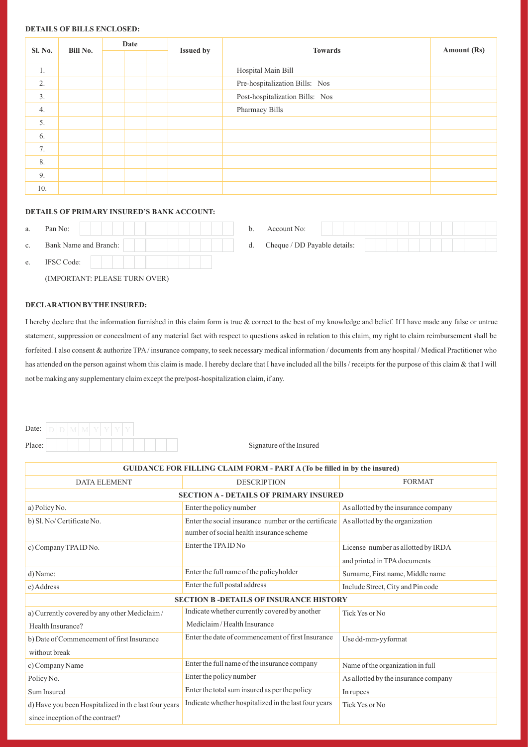#### **DETAILS OF BILLS ENCLOSED:**

|                |          |  | Date |                  |                                 | Amount (Rs) |  |
|----------------|----------|--|------|------------------|---------------------------------|-------------|--|
| <b>Sl. No.</b> | Bill No. |  |      | <b>Issued by</b> | <b>Towards</b>                  |             |  |
| 1.             |          |  |      |                  | Hospital Main Bill              |             |  |
| 2.             |          |  |      |                  | Pre-hospitalization Bills: Nos  |             |  |
| 3.             |          |  |      |                  | Post-hospitalization Bills: Nos |             |  |
| 4.             |          |  |      |                  | Pharmacy Bills                  |             |  |
| 5.             |          |  |      |                  |                                 |             |  |
| 6.             |          |  |      |                  |                                 |             |  |
| 7.             |          |  |      |                  |                                 |             |  |
| 8.             |          |  |      |                  |                                 |             |  |
| 9.             |          |  |      |                  |                                 |             |  |
| 10.            |          |  |      |                  |                                 |             |  |

#### **DETAILS OF PRIMARY INSURED'S BANK ACCOUNT:**

| a.             | Pan No:                       | b. | Account No:                  |
|----------------|-------------------------------|----|------------------------------|
| $\mathbf{c}$ . | Bank Name and Branch:         | d. | Cheque / DD Payable details: |
| e.             | <b>IFSC Code:</b>             |    |                              |
|                | (IMPORTANT: PLEASE TURN OVER) |    |                              |

#### **DECLARATION BYTHE INSURED:**

I hereby declare that the information furnished in this claim form is true & correct to the best of my knowledge and belief. If I have made any false or untrue statement, suppression or concealment of any material fact with respect to questions asked in relation to this claim, my right to claim reimbursement shall be forfeited. I also consent & authorize TPA/ insurance company, to seek necessary medical information / documents from any hospital / Medical Practitioner who has attended on the person against whom this claim is made. I hereby declare that I have included all the bills / receipts for the purpose of this claim & that I will not be making any supplementary claim except the pre/post-hospitalization claim, if any.

| Date:  |  |  |  |  |  |
|--------|--|--|--|--|--|
| Place: |  |  |  |  |  |

Signature of the Insured

| <b>GUIDANCE FOR FILLING CLAIM FORM - PART A (To be filled in by the insured)</b>         |                                                                                                  |                                                                    |  |  |  |  |
|------------------------------------------------------------------------------------------|--------------------------------------------------------------------------------------------------|--------------------------------------------------------------------|--|--|--|--|
| <b>DATA ELEMENT</b>                                                                      | <b>DESCRIPTION</b>                                                                               | <b>FORMAT</b>                                                      |  |  |  |  |
| <b>SECTION A - DETAILS OF PRIMARY INSURED</b>                                            |                                                                                                  |                                                                    |  |  |  |  |
| a) Policy No.                                                                            | Enter the policy number                                                                          | As allotted by the insurance company                               |  |  |  |  |
| b) Sl. No/ Certificate No.                                                               | Enter the social insurance number or the certificate<br>number of social health insurance scheme | As allotted by the organization                                    |  |  |  |  |
| c) Company TPA ID No.                                                                    | Enter the TPA ID No                                                                              | License number as allotted by IRDA<br>and printed in TPA documents |  |  |  |  |
| d) Name:                                                                                 | Enter the full name of the policyholder                                                          | Surname, First name, Middle name                                   |  |  |  |  |
| e) Address                                                                               | Enter the full postal address                                                                    | Include Street, City and Pin code                                  |  |  |  |  |
|                                                                                          | <b>SECTION B-DETAILS OF INSURANCE HISTORY</b>                                                    |                                                                    |  |  |  |  |
| a) Currently covered by any other Mediclaim/                                             | Indicate whether currently covered by another                                                    | Tick Yes or No                                                     |  |  |  |  |
| Health Insurance?                                                                        | Mediclaim/Health Insurance                                                                       |                                                                    |  |  |  |  |
| b) Date of Commencement of first Insurance<br>without break                              | Enter the date of commencement of first Insurance                                                | Use dd-mm-yyformat                                                 |  |  |  |  |
| c) Company Name                                                                          | Enter the full name of the insurance company                                                     | Name of the organization in full                                   |  |  |  |  |
| Policy No.                                                                               | Enter the policy number                                                                          | As allotted by the insurance company                               |  |  |  |  |
| Sum Insured                                                                              | Enter the total sum insured as per the policy                                                    | In rupees                                                          |  |  |  |  |
| d) Have you been Hospitalized in the last four years<br>since inception of the contract? | Indicate whether hospitalized in the last four years                                             | Tick Yes or No                                                     |  |  |  |  |
|                                                                                          |                                                                                                  |                                                                    |  |  |  |  |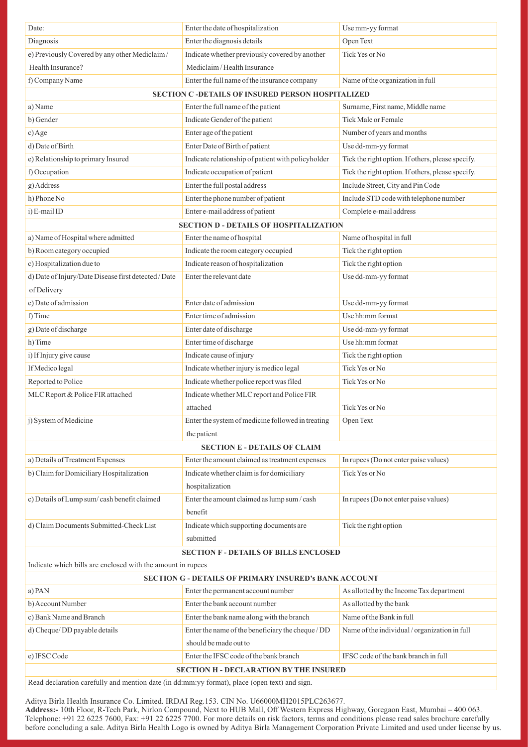| Date:                                                                                         | Enter the date of hospitalization                            | Use mm-yy format                                  |
|-----------------------------------------------------------------------------------------------|--------------------------------------------------------------|---------------------------------------------------|
| Diagnosis                                                                                     | Enter the diagnosis details                                  | Open Text                                         |
| e) Previously Covered by any other Mediclaim/                                                 | Indicate whether previously covered by another               | Tick Yes or No                                    |
| Health Insurance?                                                                             | Mediclaim/Health Insurance                                   |                                                   |
| f) Company Name                                                                               | Enter the full name of the insurance company                 | Name of the organization in full                  |
|                                                                                               | SECTION C -DETAILS OF INSURED PERSON HOSPITALIZED            |                                                   |
| a) Name                                                                                       | Enter the full name of the patient                           | Surname, First name, Middle name                  |
| b) Gender                                                                                     | Indicate Gender of the patient                               | Tick Male or Female                               |
| $c)$ Age                                                                                      | Enter age of the patient                                     | Number of years and months                        |
| d) Date of Birth                                                                              | Enter Date of Birth of patient                               | Use dd-mm-yy format                               |
| e) Relationship to primary Insured                                                            | Indicate relationship of patient with policyholder           | Tick the right option. If others, please specify. |
| f) Occupation                                                                                 | Indicate occupation of patient                               | Tick the right option. If others, please specify. |
| g) Address                                                                                    | Enter the full postal address                                | Include Street, City and Pin Code                 |
| h) Phone No                                                                                   | Enter the phone number of patient                            | Include STD code with telephone number            |
| i) E-mail ID                                                                                  | Enter e-mail address of patient                              | Complete e-mail address                           |
|                                                                                               | <b>SECTION D - DETAILS OF HOSPITALIZATION</b>                |                                                   |
| a) Name of Hospital where admitted                                                            | Enter the name of hospital                                   | Name of hospital in full                          |
| b) Room category occupied                                                                     | Indicate the room category occupied                          | Tick the right option                             |
| c) Hospitalization due to                                                                     | Indicate reason of hospitalization                           | Tick the right option                             |
| d) Date of Injury/Date Disease first detected / Date                                          | Enter the relevant date                                      | Use dd-mm-yy format                               |
| of Delivery                                                                                   |                                                              |                                                   |
| e) Date of admission                                                                          | Enter date of admission                                      | Use dd-mm-yy format                               |
| f) Time                                                                                       | Enter time of admission                                      | Use hh:mm format                                  |
| g) Date of discharge                                                                          | Enter date of discharge                                      | Use dd-mm-yy format                               |
| h) Time                                                                                       | Enter time of discharge                                      | Use hh:mm format                                  |
| i) If Injury give cause                                                                       | Indicate cause of injury                                     | Tick the right option                             |
| If Medico legal                                                                               | Indicate whether injury is medico legal                      | Tick Yes or No                                    |
| Reported to Police                                                                            | Indicate whether police report was filed                     | Tick Yes or No                                    |
| MLC Report & Police FIR attached                                                              | Indicate whether MLC report and Police FIR                   |                                                   |
|                                                                                               | attached                                                     | Tick Yes or No                                    |
| j) System of Medicine                                                                         | Enter the system of medicine followed in treating            | Open Text                                         |
|                                                                                               | the patient                                                  |                                                   |
|                                                                                               | <b>SECTION E - DETAILS OF CLAIM</b>                          |                                                   |
| a) Details of Treatment Expenses                                                              | Enter the amount claimed as treatment expenses               | In rupees (Do not enter paise values)             |
| b) Claim for Domiciliary Hospitalization                                                      | Indicate whether claim is for domiciliary                    | Tick Yes or No                                    |
|                                                                                               | hospitalization                                              |                                                   |
| c) Details of Lump sum/cash benefit claimed                                                   | Enter the amount claimed as lump sum / cash                  | In rupees (Do not enter paise values)             |
|                                                                                               | benefit                                                      |                                                   |
| d) Claim Documents Submitted-Check List                                                       | Indicate which supporting documents are                      | Tick the right option                             |
|                                                                                               | submitted                                                    |                                                   |
|                                                                                               | <b>SECTION F - DETAILS OF BILLS ENCLOSED</b>                 |                                                   |
| Indicate which bills are enclosed with the amount in rupees                                   |                                                              |                                                   |
|                                                                                               | <b>SECTION G - DETAILS OF PRIMARY INSURED'S BANK ACCOUNT</b> |                                                   |
| a) PAN                                                                                        | Enter the permanent account number                           | As allotted by the Income Tax department          |
| b) Account Number                                                                             | Enter the bank account number                                | As allotted by the bank                           |
| c) Bank Name and Branch                                                                       | Enter the bank name along with the branch                    | Name of the Bank in full                          |
| d) Cheque/DD payable details                                                                  | Enter the name of the beneficiary the cheque / DD            | Name of the individual / organization in full     |
|                                                                                               | should be made out to                                        |                                                   |
| e) IFSC Code                                                                                  | Enter the IFSC code of the bank branch                       | IFSC code of the bank branch in full              |
|                                                                                               | <b>SECTION H - DECLARATION BY THE INSURED</b>                |                                                   |
| Read declaration carefully and mention date (in dd:mm:yy format), place (open text) and sign. |                                                              |                                                   |

Aditya Birla Health Insurance Co. Limited. IRDAI Reg.153. CIN No. U66000MH2015PLC263677.

**Address:-** 10th Floor, R-Tech Park, Nirlon Compound, Next to HUB Mall, Off Western Express Highway, Goregaon East, Mumbai – 400 063. Telephone: +91 22 6225 7600, Fax: +91 22 6225 7700. For more details on risk factors, terms and conditions please read sales brochure carefully before concluding a sale. Aditya Birla Health Logo is owned by Aditya Birla Management Corporation Private Limited and used under license by us.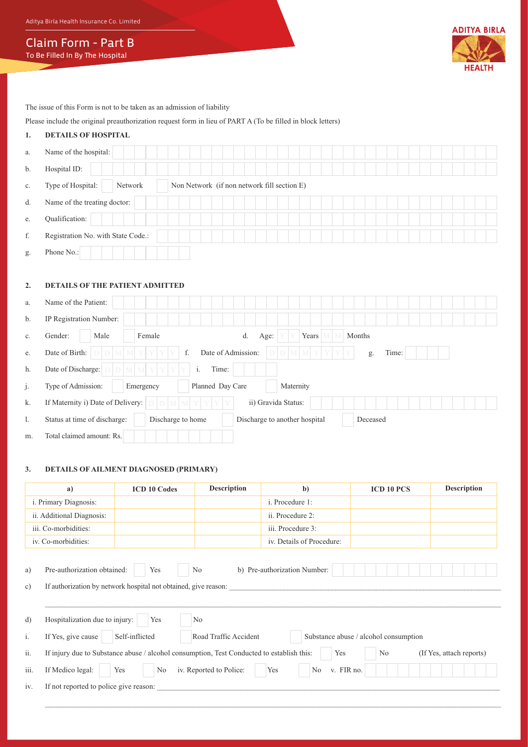Aditya Birla Health Insurance Co. Limited

Claim Form - Part B To Be Filled In By The Hospital



The issue of this Form is not to be taken as an admission of liability

# Please include the original preauthorization request form in lieu of PART A (To be filled in block letters)

# **1. DETAILS OF HOSPITAL**

| a. | Name of the hospital:              |                                             |
|----|------------------------------------|---------------------------------------------|
| b. | Hospital ID:                       |                                             |
| c. | Type of Hospital:<br>Network       | Non Network (if non network fill section E) |
| d. | Name of the treating doctor:       |                                             |
| e. | Qualification:                     |                                             |
| f. | Registration No. with State Code.: |                                             |
| g. | Phone No.:                         |                                             |

#### **2. DETAILS OF THE PATIENT ADMITTED**

| a. | Name of the Patient:                                                                           |
|----|------------------------------------------------------------------------------------------------|
| b. | IP Registration Number:                                                                        |
| c. | Female<br>Gender:<br>Male<br>Years<br>Months<br>d.<br>Age:                                     |
| e. | Date of Admission:<br>Date of Birth:<br>f.<br>Time:<br>Y<br>g.                                 |
| h. | Date of Discharge:<br>i.<br>Time:<br>Y<br>M                                                    |
| j. | Type of Admission:<br>Planned Day Care<br>Maternity<br>Emergency                               |
| k. | If Maternity i) Date of Delivery:<br>ii) Gravida Status:                                       |
| 1. | Discharge to home<br>Discharge to another hospital<br>Status at time of discharge:<br>Deceased |
| m. | Total claimed amount: Rs.                                                                      |

#### **3. DETAILS OF AILMENT DIAGNOSED (PRIMARY)**

| a)                        |                                                                                                                                                | <b>ICD 10 Codes</b>                                                              | <b>Description</b> | $\mathbf{b}$              | <b>ICD 10 PCS</b> | <b>Description</b> |  |  |  |  |
|---------------------------|------------------------------------------------------------------------------------------------------------------------------------------------|----------------------------------------------------------------------------------|--------------------|---------------------------|-------------------|--------------------|--|--|--|--|
| i. Primary Diagnosis:     |                                                                                                                                                |                                                                                  |                    | i. Procedure 1:           |                   |                    |  |  |  |  |
| ii. Additional Diagnosis: |                                                                                                                                                |                                                                                  |                    | ii. Procedure 2:          |                   |                    |  |  |  |  |
| iii. Co-morbidities:      |                                                                                                                                                |                                                                                  |                    | iii. Procedure 3:         |                   |                    |  |  |  |  |
|                           | iv. Co-morbidities:                                                                                                                            |                                                                                  |                    | iv. Details of Procedure: |                   |                    |  |  |  |  |
| c)                        | If authorization by network hospital not obtained, give reason:                                                                                |                                                                                  |                    |                           |                   |                    |  |  |  |  |
|                           |                                                                                                                                                |                                                                                  |                    |                           |                   |                    |  |  |  |  |
| d)                        | Hospitalization due to injury:                                                                                                                 | Yes                                                                              | N <sub>0</sub>     |                           |                   |                    |  |  |  |  |
| i.                        | If Yes, give cause                                                                                                                             | Self-inflicted<br>Road Traffic Accident<br>Substance abuse / alcohol consumption |                    |                           |                   |                    |  |  |  |  |
| ii.                       | If injury due to Substance abuse / alcohol consumption, Test Conducted to establish this:<br>N <sub>0</sub><br>(If Yes, attach reports)<br>Yes |                                                                                  |                    |                           |                   |                    |  |  |  |  |
| iii.                      | iv. Reported to Police:<br>If Medico legal:<br>v. FIR no.<br>Yes<br>No<br>Yes<br>N <sub>0</sub>                                                |                                                                                  |                    |                           |                   |                    |  |  |  |  |
| iv.                       | If not reported to police give reason:                                                                                                         |                                                                                  |                    |                           |                   |                    |  |  |  |  |
|                           |                                                                                                                                                |                                                                                  |                    |                           |                   |                    |  |  |  |  |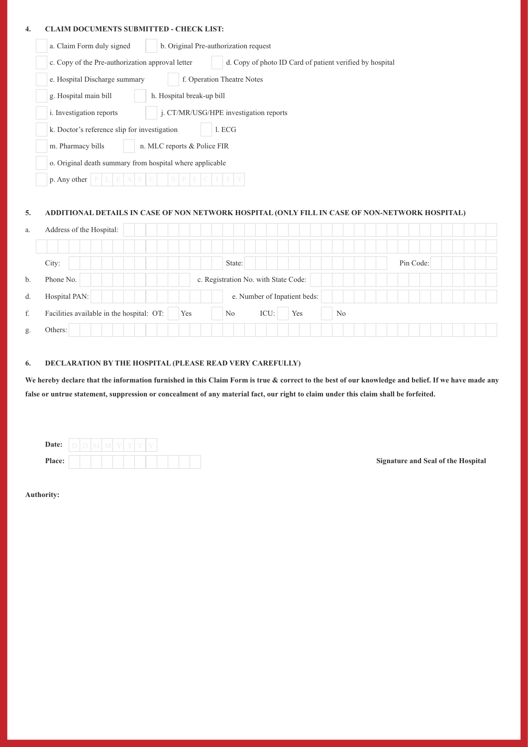#### **4. CLAIM DOCUMENTS SUBMITTED - CHECK LIST:**

|    | a. Claim Form duly signed                                                                                    | b. Original Pre-authorization request |        |                                      |     |                |           |  |  |  |
|----|--------------------------------------------------------------------------------------------------------------|---------------------------------------|--------|--------------------------------------|-----|----------------|-----------|--|--|--|
|    | c. Copy of the Pre-authorization approval letter<br>d. Copy of photo ID Card of patient verified by hospital |                                       |        |                                      |     |                |           |  |  |  |
|    | f. Operation Theatre Notes<br>e. Hospital Discharge summary                                                  |                                       |        |                                      |     |                |           |  |  |  |
|    | g. Hospital main bill<br>h. Hospital break-up bill                                                           |                                       |        |                                      |     |                |           |  |  |  |
|    | j. CT/MR/USG/HPE investigation reports<br>i. Investigation reports                                           |                                       |        |                                      |     |                |           |  |  |  |
|    | k. Doctor's reference slip for investigation<br>1. ECG                                                       |                                       |        |                                      |     |                |           |  |  |  |
|    | n. MLC reports & Police FIR<br>m. Pharmacy bills                                                             |                                       |        |                                      |     |                |           |  |  |  |
|    | o. Original death summary from hospital where applicable                                                     |                                       |        |                                      |     |                |           |  |  |  |
|    | p. Any other                                                                                                 |                                       |        |                                      |     |                |           |  |  |  |
|    |                                                                                                              |                                       |        |                                      |     |                |           |  |  |  |
| 5. | ADDITIONAL DETAILS IN CASE OF NON NETWORK HOSPITAL (ONLY FILL IN CASE OF NON-NETWORK HOSPITAL)               |                                       |        |                                      |     |                |           |  |  |  |
| a. | Address of the Hospital:                                                                                     |                                       |        |                                      |     |                |           |  |  |  |
|    |                                                                                                              |                                       |        |                                      |     |                |           |  |  |  |
|    | City:                                                                                                        |                                       | State: |                                      |     |                | Pin Code: |  |  |  |
| b. | Phone No.                                                                                                    |                                       |        | c. Registration No. with State Code: |     |                |           |  |  |  |
| d. | Hospital PAN:                                                                                                |                                       |        | e. Number of Inpatient beds:         |     |                |           |  |  |  |
| f. | Facilities available in the hospital: OT:                                                                    | Yes                                   | No     | ICU:                                 | Yes | N <sub>o</sub> |           |  |  |  |

#### **6. DECLARATION BY THE HOSPITAL (PLEASE READ VERY CAREFULLY)**

**We hereby declare that the information furnished in this Claim Form is true & correct to the best of our knowledge and belief. If we have made any false or untrue statement, suppression or concealment of any material fact, our right to claim under this claim shall be forfeited.**

| Date:  |  | ν | ν |  |  |  |  |
|--------|--|---|---|--|--|--|--|
| Place: |  |   |   |  |  |  |  |

**Signature and Seal of the Hospital** 

**Authority:**

g. Others: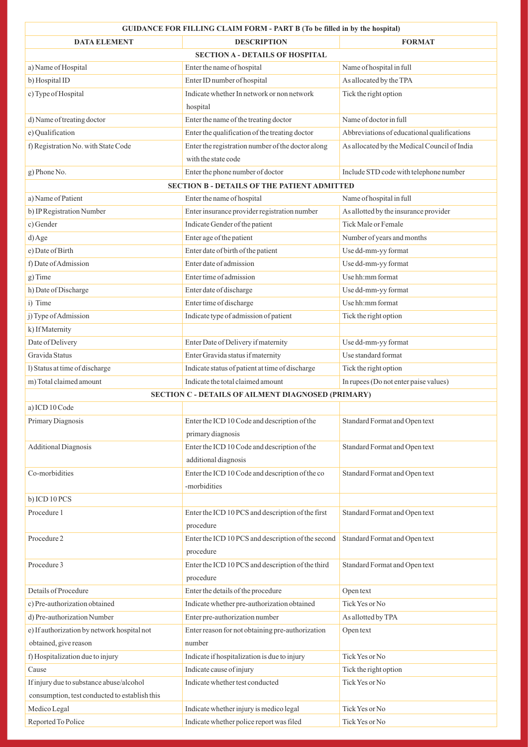| <b>GUIDANCE FOR FILLING CLAIM FORM - PART B (To be filled in by the hospital)</b> |                                                    |                                              |  |  |  |  |  |  |  |
|-----------------------------------------------------------------------------------|----------------------------------------------------|----------------------------------------------|--|--|--|--|--|--|--|
| <b>DATA ELEMENT</b>                                                               | <b>DESCRIPTION</b>                                 | <b>FORMAT</b>                                |  |  |  |  |  |  |  |
|                                                                                   | <b>SECTION A - DETAILS OF HOSPITAL</b>             |                                              |  |  |  |  |  |  |  |
| a) Name of Hospital                                                               | Enter the name of hospital                         | Name of hospital in full                     |  |  |  |  |  |  |  |
| b) Hospital ID                                                                    | Enter ID number of hospital                        | As allocated by the TPA                      |  |  |  |  |  |  |  |
| c) Type of Hospital                                                               | Indicate whether In network or non network         | Tick the right option                        |  |  |  |  |  |  |  |
|                                                                                   | hospital                                           |                                              |  |  |  |  |  |  |  |
| d) Name of treating doctor                                                        | Enter the name of the treating doctor              | Name of doctor in full                       |  |  |  |  |  |  |  |
| e) Qualification                                                                  | Enter the qualification of the treating doctor     | Abbreviations of educational qualifications  |  |  |  |  |  |  |  |
| f) Registration No. with State Code                                               | Enter the registration number of the doctor along  | As allocated by the Medical Council of India |  |  |  |  |  |  |  |
|                                                                                   | with the state code                                |                                              |  |  |  |  |  |  |  |
| g) Phone No.                                                                      | Enter the phone number of doctor                   | Include STD code with telephone number       |  |  |  |  |  |  |  |
| <b>SECTION B - DETAILS OF THE PATIENT ADMITTED</b>                                |                                                    |                                              |  |  |  |  |  |  |  |
| a) Name of Patient                                                                | Enter the name of hospital                         | Name of hospital in full                     |  |  |  |  |  |  |  |
| b) IP Registration Number                                                         | Enter insurance provider registration number       | As allotted by the insurance provider        |  |  |  |  |  |  |  |
| c) Gender                                                                         | Indicate Gender of the patient                     | Tick Male or Female                          |  |  |  |  |  |  |  |
| d) Age                                                                            | Enter age of the patient                           | Number of years and months                   |  |  |  |  |  |  |  |
| e) Date of Birth                                                                  | Enter date of birth of the patient                 | Use dd-mm-yy format                          |  |  |  |  |  |  |  |
| f) Date of Admission                                                              | Enter date of admission                            | Use dd-mm-yy format                          |  |  |  |  |  |  |  |
| g) Time                                                                           | Enter time of admission                            | Use hh:mm format                             |  |  |  |  |  |  |  |
| h) Date of Discharge                                                              | Enter date of discharge                            | Use dd-mm-yy format                          |  |  |  |  |  |  |  |
| i) Time                                                                           | Enter time of discharge                            | Use hh:mm format                             |  |  |  |  |  |  |  |
| j) Type of Admission                                                              | Indicate type of admission of patient              | Tick the right option                        |  |  |  |  |  |  |  |
| k) If Maternity                                                                   |                                                    |                                              |  |  |  |  |  |  |  |
| Date of Delivery                                                                  | Enter Date of Delivery if maternity                | Use dd-mm-yy format                          |  |  |  |  |  |  |  |
| Gravida Status                                                                    | Enter Gravida status if maternity                  | Use standard format                          |  |  |  |  |  |  |  |
| l) Status at time of discharge                                                    | Indicate status of patient at time of discharge    | Tick the right option                        |  |  |  |  |  |  |  |
| m) Total claimed amount                                                           | Indicate the total claimed amount                  | In rupees (Do not enter paise values)        |  |  |  |  |  |  |  |
| SECTION C - DETAILS OF AILMENT DIAGNOSED (PRIMARY)                                |                                                    |                                              |  |  |  |  |  |  |  |
| a) ICD 10 Code                                                                    |                                                    |                                              |  |  |  |  |  |  |  |
| Primary Diagnosis                                                                 | Enter the ICD 10 Code and description of the       | Standard Format and Open text                |  |  |  |  |  |  |  |
|                                                                                   | primary diagnosis                                  |                                              |  |  |  |  |  |  |  |
| <b>Additional Diagnosis</b>                                                       | Enter the ICD 10 Code and description of the       | Standard Format and Open text                |  |  |  |  |  |  |  |
|                                                                                   | additional diagnosis                               |                                              |  |  |  |  |  |  |  |
| Co-morbidities                                                                    | Enter the ICD 10 Code and description of the co    | Standard Format and Open text                |  |  |  |  |  |  |  |
|                                                                                   | -morbidities                                       |                                              |  |  |  |  |  |  |  |
| b) ICD 10 PCS                                                                     |                                                    |                                              |  |  |  |  |  |  |  |
| Procedure 1                                                                       | Enter the ICD 10 PCS and description of the first  | Standard Format and Open text                |  |  |  |  |  |  |  |
|                                                                                   | procedure                                          |                                              |  |  |  |  |  |  |  |
| Procedure 2                                                                       | Enter the ICD 10 PCS and description of the second | Standard Format and Open text                |  |  |  |  |  |  |  |
|                                                                                   | procedure                                          |                                              |  |  |  |  |  |  |  |
| Procedure 3                                                                       | Enter the ICD 10 PCS and description of the third  | Standard Format and Open text                |  |  |  |  |  |  |  |
|                                                                                   | procedure                                          |                                              |  |  |  |  |  |  |  |
| Details of Procedure                                                              | Enter the details of the procedure                 | Open text                                    |  |  |  |  |  |  |  |
| c) Pre-authorization obtained                                                     | Indicate whether pre-authorization obtained        | Tick Yes or No                               |  |  |  |  |  |  |  |
| d) Pre-authorization Number                                                       | Enter pre-authorization number                     | As allotted by TPA                           |  |  |  |  |  |  |  |
| e) If authorization by network hospital not                                       | Enter reason for not obtaining pre-authorization   | Open text                                    |  |  |  |  |  |  |  |
| obtained, give reason                                                             | number                                             |                                              |  |  |  |  |  |  |  |
| f) Hospitalization due to injury                                                  | Indicate if hospitalization is due to injury       | Tick Yes or No                               |  |  |  |  |  |  |  |
| Cause                                                                             | Indicate cause of injury                           | Tick the right option                        |  |  |  |  |  |  |  |
| If injury due to substance abuse/alcohol                                          | Indicate whether test conducted                    | Tick Yes or No                               |  |  |  |  |  |  |  |
| consumption, test conducted to establish this                                     |                                                    |                                              |  |  |  |  |  |  |  |
| Medico Legal                                                                      | Indicate whether injury is medico legal            | Tick Yes or No                               |  |  |  |  |  |  |  |
| Reported To Police                                                                | Indicate whether police report was filed           | Tick Yes or No                               |  |  |  |  |  |  |  |